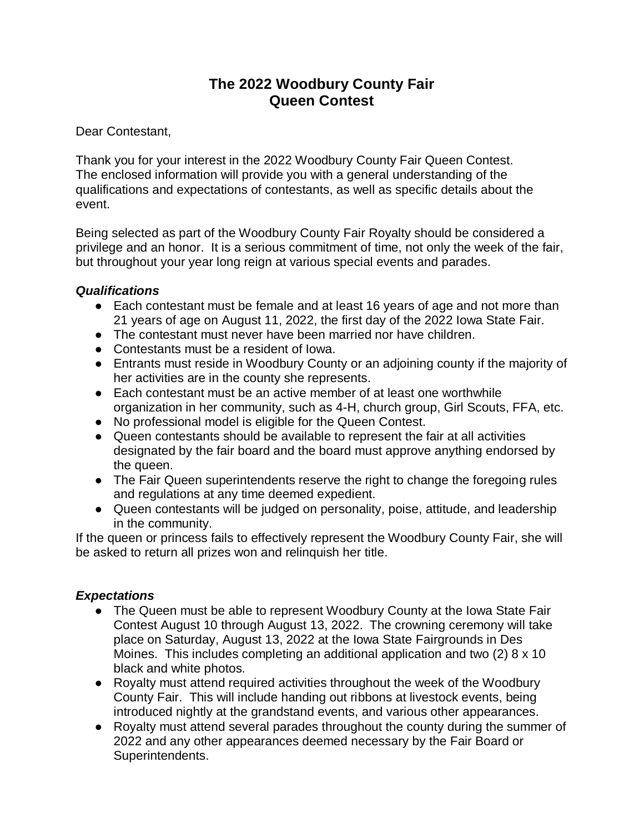# **The 2022 Woodbury County Fair Queen Contest**

Dear Contestant,

Thank you for your interest in the 2022 Woodbury County Fair Queen Contest. The enclosed information will provide you with a general understanding of the qualifications and expectations of contestants, as well as specific details about the event.

Being selected as part of the Woodbury County Fair Royalty should be considered a privilege and an honor. It is a serious commitment of time, not only the week of the fair, but throughout your year long reign at various special events and parades.

# *Qualifications*

- Each contestant must be female and at least 16 years of age and not more than 21 years of age on August 11, 2022, the first day of the 2022 Iowa State Fair.
- The contestant must never have been married nor have children.
- Contestants must be a resident of Iowa.
- Entrants must reside in Woodbury County or an adjoining county if the majority of her activities are in the county she represents.
- Each contestant must be an active member of at least one worthwhile organization in her community, such as 4-H, church group, Girl Scouts, FFA, etc.
- No professional model is eligible for the Queen Contest.
- Queen contestants should be available to represent the fair at all activities designated by the fair board and the board must approve anything endorsed by the queen.
- The Fair Queen superintendents reserve the right to change the foregoing rules and regulations at any time deemed expedient.
- Queen contestants will be judged on personality, poise, attitude, and leadership in the community.

If the queen or princess fails to effectively represent the Woodbury County Fair, she will be asked to return all prizes won and relinquish her title.

# *Expectations*

- The Queen must be able to represent Woodbury County at the Iowa State Fair Contest August 10 through August 13, 2022. The crowning ceremony will take place on Saturday, August 13, 2022 at the Iowa State Fairgrounds in Des Moines. This includes completing an additional application and two (2) 8 x 10 black and white photos.
- Royalty must attend required activities throughout the week of the Woodbury County Fair. This will include handing out ribbons at livestock events, being introduced nightly at the grandstand events, and various other appearances.
- Royalty must attend several parades throughout the county during the summer of 2022 and any other appearances deemed necessary by the Fair Board or Superintendents.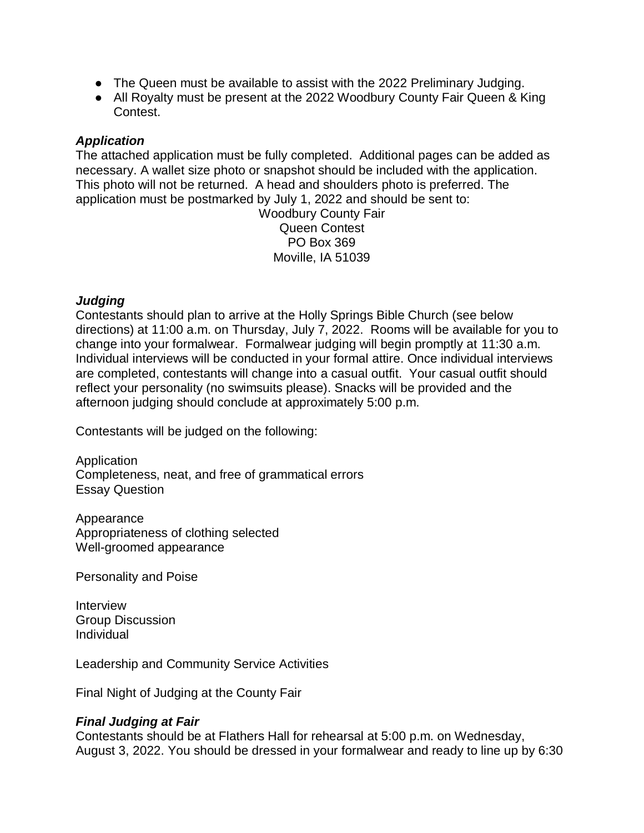- The Queen must be available to assist with the 2022 Preliminary Judging.
- All Royalty must be present at the 2022 Woodbury County Fair Queen & King Contest.

#### *Application*

The attached application must be fully completed. Additional pages can be added as necessary. A wallet size photo or snapshot should be included with the application. This photo will not be returned. A head and shoulders photo is preferred. The application must be postmarked by July 1, 2022 and should be sent to:

> Woodbury County Fair Queen Contest PO Box 369 Moville, IA 51039

#### *Judging*

Contestants should plan to arrive at the Holly Springs Bible Church (see below directions) at 11:00 a.m. on Thursday, July 7, 2022. Rooms will be available for you to change into your formalwear. Formalwear judging will begin promptly at 11:30 a.m. Individual interviews will be conducted in your formal attire. Once individual interviews are completed, contestants will change into a casual outfit. Your casual outfit should reflect your personality (no swimsuits please). Snacks will be provided and the afternoon judging should conclude at approximately 5:00 p.m.

Contestants will be judged on the following:

Application Completeness, neat, and free of grammatical errors Essay Question

Appearance Appropriateness of clothing selected Well-groomed appearance

Personality and Poise

Interview Group Discussion Individual

Leadership and Community Service Activities

Final Night of Judging at the County Fair

# *Final Judging at Fair*

Contestants should be at Flathers Hall for rehearsal at 5:00 p.m. on Wednesday, August 3, 2022. You should be dressed in your formalwear and ready to line up by 6:30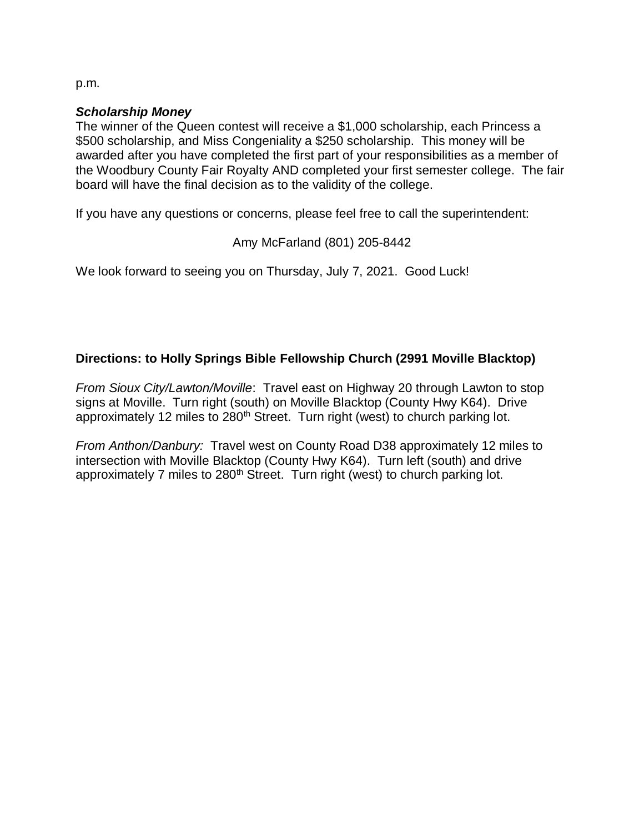p.m.

#### *Scholarship Money*

The winner of the Queen contest will receive a \$1,000 scholarship, each Princess a \$500 scholarship, and Miss Congeniality a \$250 scholarship. This money will be awarded after you have completed the first part of your responsibilities as a member of the Woodbury County Fair Royalty AND completed your first semester college. The fair board will have the final decision as to the validity of the college.

If you have any questions or concerns, please feel free to call the superintendent:

#### Amy McFarland (801) 205-8442

We look forward to seeing you on Thursday, July 7, 2021. Good Luck!

# **Directions: to Holly Springs Bible Fellowship Church (2991 Moville Blacktop)**

*From Sioux City/Lawton/Moville*: Travel east on Highway 20 through Lawton to stop signs at Moville. Turn right (south) on Moville Blacktop (County Hwy K64). Drive approximately 12 miles to 280<sup>th</sup> Street. Turn right (west) to church parking lot.

*From Anthon/Danbury:* Travel west on County Road D38 approximately 12 miles to intersection with Moville Blacktop (County Hwy K64). Turn left (south) and drive approximately 7 miles to 280<sup>th</sup> Street. Turn right (west) to church parking lot.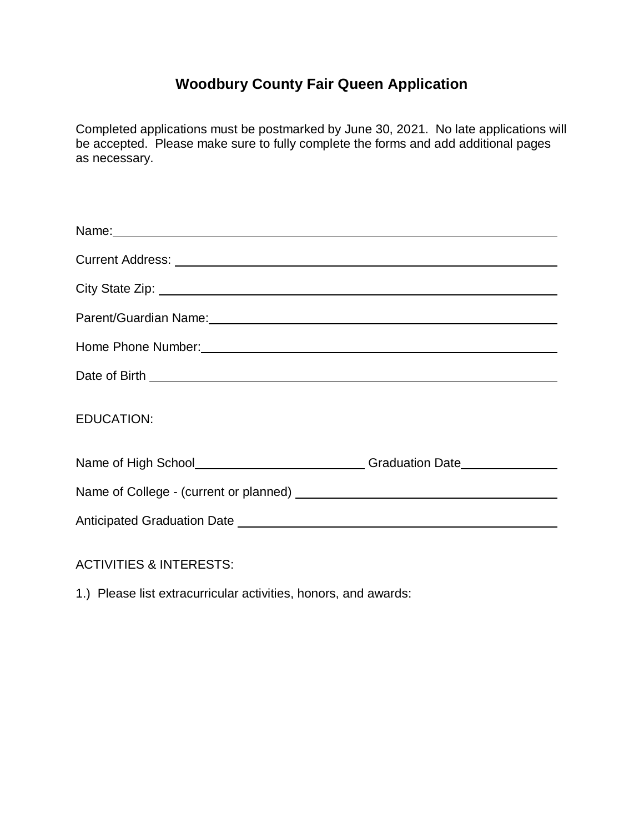# **Woodbury County Fair Queen Application**

Completed applications must be postmarked by June 30, 2021. No late applications will be accepted. Please make sure to fully complete the forms and add additional pages as necessary.

| Parent/Guardian Name:<br><u> and the manufacture of the manufacture of the manufacture of the manufacture</u> of the manufacture of the manufacture                                                                            |  |
|--------------------------------------------------------------------------------------------------------------------------------------------------------------------------------------------------------------------------------|--|
| Home Phone Number: National Account of the Contract of the Contract of the Contract of the Contract of the Contract of the Contract of the Contract of the Contract of the Contract of the Contract of the Contract of the Con |  |
|                                                                                                                                                                                                                                |  |
| <b>EDUCATION:</b>                                                                                                                                                                                                              |  |
| Name of High School________________________________Graduation Date______________                                                                                                                                               |  |
|                                                                                                                                                                                                                                |  |
|                                                                                                                                                                                                                                |  |
|                                                                                                                                                                                                                                |  |

ACTIVITIES & INTERESTS:

1.) Please list extracurricular activities, honors, and awards: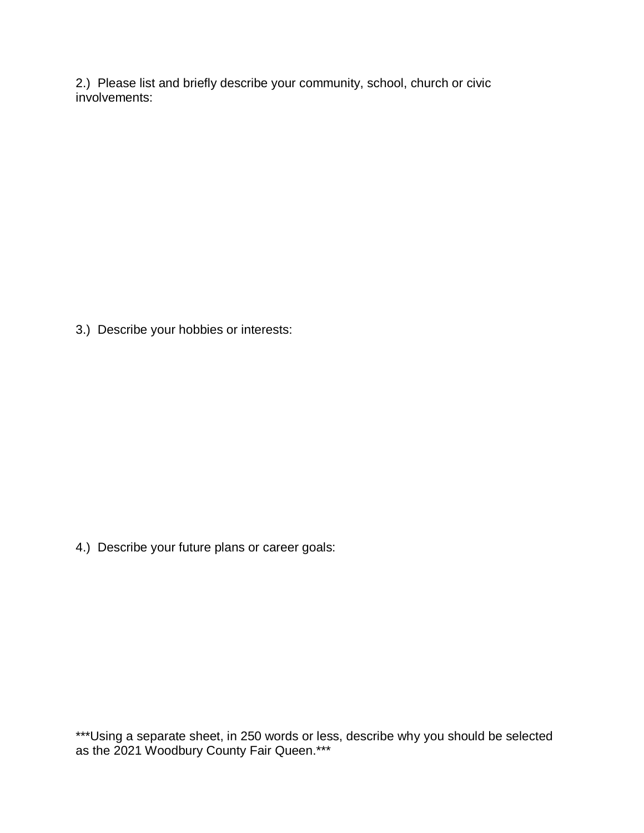2.) Please list and briefly describe your community, school, church or civic involvements:

3.) Describe your hobbies or interests:

4.) Describe your future plans or career goals:

\*\*\*Using a separate sheet, in 250 words or less, describe why you should be selected as the 2021 Woodbury County Fair Queen.\*\*\*